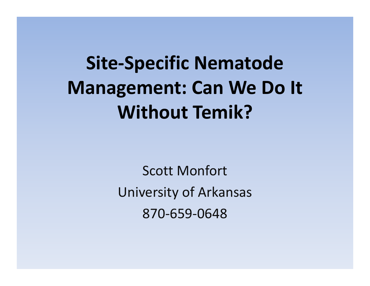# **Site‐Specific Nematode Management: Can We Do It Without Temik?**

Scott Monfort University of Arkansas 870‐659‐0648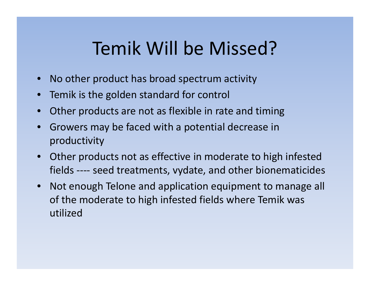## Temik Will be Missed?

- •No other product has broad spectrum activity
- •**•** Temik is the golden standard for control
- •Other products are not as flexible in rate and timing
- •• Growers may be faced with a potential decrease in productivity
- • Other products not as effective in moderate to high infested fields ‐‐‐‐ seed treatments, vydate, and other bionematicides
- $\bullet$  Not enough Telone and application equipment to manage all of the moderate to high infested fields where Temik was utilized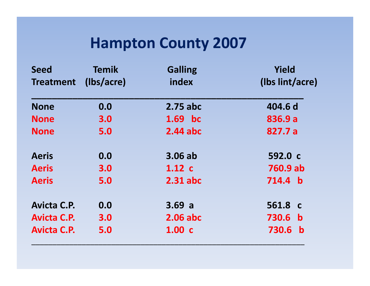### **Hampton County 2007**

| <b>Seed</b>        | <b>Temik</b><br>(lbs/acre) | <b>Galling</b>  | Yield<br>(Ibs lint/acre) |  |
|--------------------|----------------------------|-----------------|--------------------------|--|
| <b>Treatment</b>   |                            | index           |                          |  |
| <b>None</b>        | 0.0                        | 2.75 abc        | 404.6 d                  |  |
| <b>None</b>        | 3.0                        | 1.69 bc         | 836.9 a                  |  |
| <b>None</b>        | 5.0                        | 2.44 abc        | 827.7 a                  |  |
| <b>Aeris</b>       | 0.0                        | 3.06ab          | 592.0 с                  |  |
| <b>Aeris</b>       | 3.0                        | $1.12\text{ c}$ | 760.9 ab                 |  |
| <b>Aeris</b>       | 5.0                        | $2.31$ abc      | 714.4 b                  |  |
| <b>Avicta C.P.</b> | 0.0                        | 3.69a           | 561.8<br>$\mathbf{C}$    |  |
| <b>Avicta C.P.</b> | 3.0                        | 2.06 abc        | 730.6<br>$\mathbf{b}$    |  |
| <b>Avicta C.P.</b> | 5.0                        | 1.00c           | 730.6<br>$\mathbf b$     |  |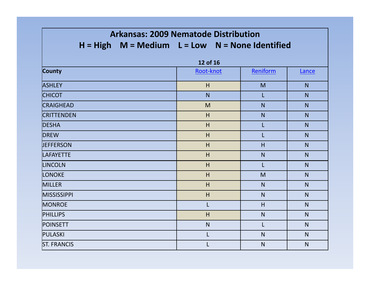#### **Arkansas: 2009 Nematode Distribution H <sup>=</sup> High M <sup>=</sup> Medium L <sup>=</sup> Low N <sup>=</sup> None Identified**

| 12 of 16           |              |                |                |
|--------------------|--------------|----------------|----------------|
| <b>County</b>      | Root-knot    | Reniform       | Lance          |
| <b>ASHLEY</b>      | H            | M              | N              |
| <b>CHICOT</b>      | N            | L              | N <sub>1</sub> |
| <b>CRAIGHEAD</b>   | M            | $\overline{N}$ | N              |
| <b>CRITTENDEN</b>  | H            | $\overline{N}$ | N              |
| <b>DESHA</b>       | H            | L              | N              |
| <b>DREW</b>        | H            | L              | N              |
| <b>JEFFERSON</b>   | H            | H              | N              |
| <b>LAFAYETTE</b>   | H            | N              | N              |
| <b>LINCOLN</b>     | H            | L              | N              |
| <b>LONOKE</b>      | H            | M              | N              |
| <b>MILLER</b>      | H            | N              | N              |
| <b>MISSISSIPPI</b> | H            | N              | N              |
| <b>MONROE</b>      | L            | H              | N              |
| <b>PHILLIPS</b>    | H            | $\overline{N}$ | N              |
| POINSETT           | $\mathsf{N}$ | L              | N              |
| PULASKI            | L            | N              | N              |
| <b>ST. FRANCIS</b> | L            | N              | N              |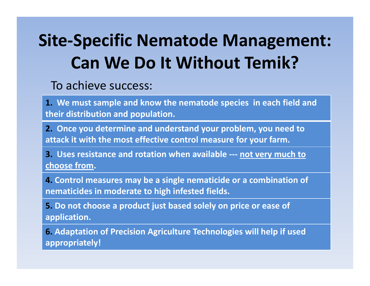## **Site‐Specific Nematode Management: Can We Do It Without Temik?**

#### To achieve success:

**1. We must sample and know the nematode species in each field and their distribution and population.**

**2. Once you determine and understand your problem, you need to attack it with the most effective control measure for your farm.**

**3. Uses resistance and rotation when available ‐‐‐ not very much to choose from.**

**4. Control measures may be <sup>a</sup> single nematicide or <sup>a</sup> combination of nematicides in moderate to high infested fields.**

**5. Do not choose <sup>a</sup> product just based solely on price or ease of application.**

**6. Adaptation of Precision Agriculture Technologies will help if used appropriately!**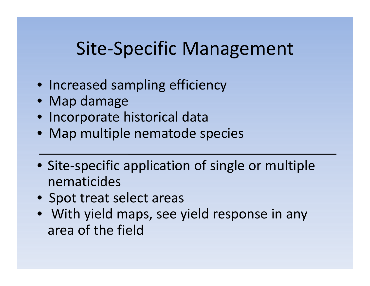## Site‐Specific Management

- Increased sampling efficiency
- Map damage
- Incorporate historical data
- Map multiple nematode species
- Site-specific application of single or multiple nematicides
- Spot treat select areas
- With yield maps, see yield response in any area of the field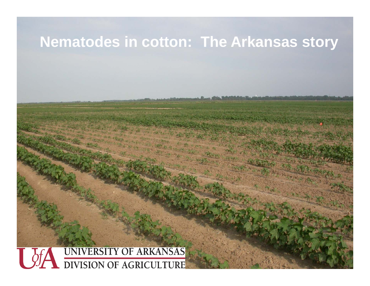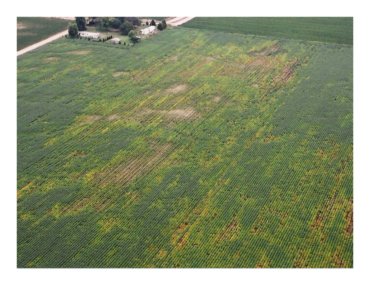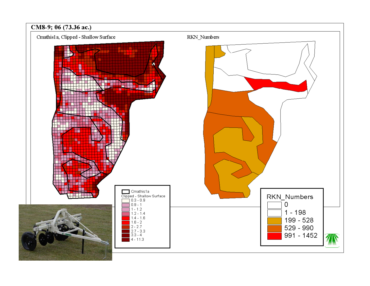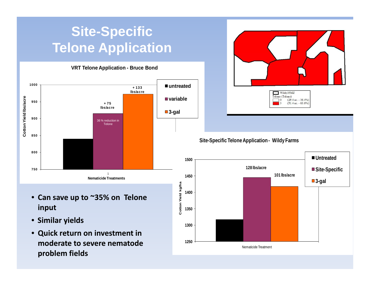#### **Site-Specific Telone Application**

#### **2004VRT Telone Application - Bruce Bond**



- **Can save up to ~35% on Telone input**
- **Similar yields**
- **Quick return on investment in moderate to severe nematode problem fields**



#### **Site-Specific Telone Application - Wildy Farms**

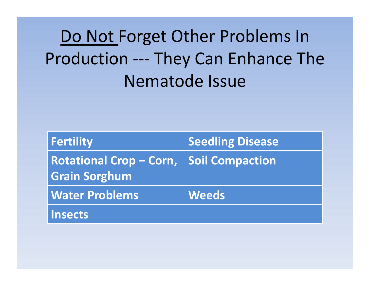# Do Not Forget Other Problems In Production --- They Can Enhance The Nematode Issue

| Fertility                                                       | <b>Seedling Disease</b> |
|-----------------------------------------------------------------|-------------------------|
| <b>Rotational Crop - Corn, Soil Compaction</b><br>Grain Sorghum |                         |
| <b>Water Problems</b>                                           | <b>Weeds</b>            |
| <b>Insects</b>                                                  |                         |